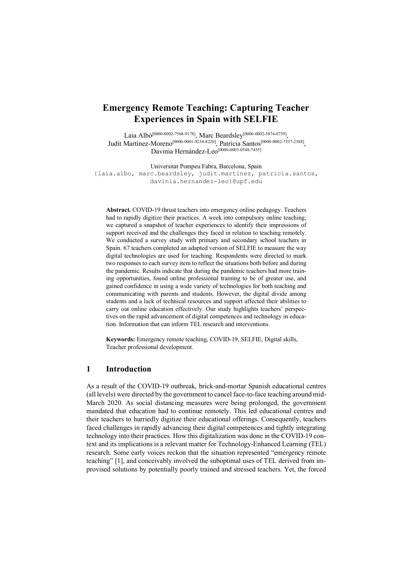# **Emergency Remote Teaching: Capturing Teacher Experiences in Spain with SELFIE**

Laia Albó<sup>[0000-0002-7568-9178]</sup>, Marc Beardsley<sup>[0000-0002-3874-0739]</sup>, Judit Martínez-Moreno<sup>[0000-0001-9234-8220]</sup>, Patricia Santos<sup>[0000-0002-7337-2388]</sup>, Davinia Hernández-Leo<sup>[0000-0003-0548-7455]</sup>

Universitat Pompeu Fabra, Barcelona, Spain

{laia.albo, marc.beardsley, judit.martinez, patricia.santos, davinia.hernandez-leo}@upf.edu

**Abstract.** COVID-19 thrust teachers into emergency online pedagogy. Teachers had to rapidly digitize their practices. A week into compulsory online teaching, we captured a snapshot of teacher experiences to identify their impressions of support received and the challenges they faced in relation to teaching remotely. We conducted a survey study with primary and secondary school teachers in Spain. 67 teachers completed an adapted version of SELFIE to measure the way digital technologies are used for teaching. Respondents were directed to mark two responses to each survey item to reflect the situations both before and during the pandemic. Results indicate that during the pandemic teachers had more training opportunities, found online professional training to be of greater use, and gained confidence in using a wide variety of technologies for both teaching and communicating with parents and students. However, the digital divide among students and a lack of technical resources and support affected their abilities to carry out online education effectively. Our study highlights teachers' perspectives on the rapid advancement of digital competences and technology in education. Information that can inform TEL research and interventions.

**Keywords:** Emergency remote teaching, COVID-19, SELFIE, Digital skills, Teacher professional development.

# **1 Introduction**

As a result of the COVID-19 outbreak, brick-and-mortar Spanish educational centres (all levels) were directed by the government to cancel face-to-face teaching around mid-March 2020. As social distancing measures were being prolonged, the government mandated that education had to continue remotely. This led educational centres and their teachers to hurriedly digitize their educational offerings. Consequently, teachers faced challenges in rapidly advancing their digital competences and tightly integrating technology into their practices. How this digitalization was done in the COVID-19 context and its implications is a relevant matter for Technology-Enhanced Learning (TEL) research. Some early voices reckon that the situation represented "emergency remote teaching" [1], and conceivably involved the suboptimal uses of TEL derived from improvised solutions by potentially poorly trained and stressed teachers. Yet, the forced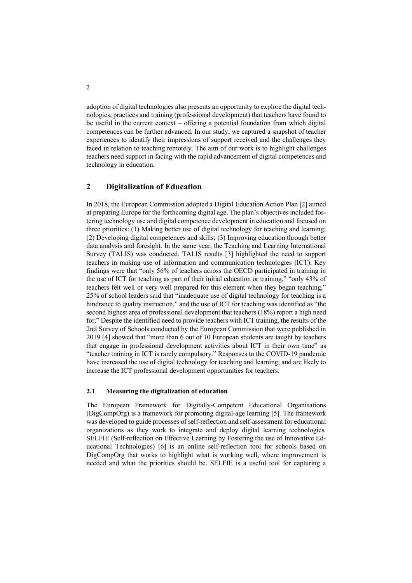adoption of digital technologies also presents an opportunity to explore the digital technologies, practices and training (professional development) that teachers have found to be useful in the current context – offering a potential foundation from which digital competences can be further advanced. In our study, we captured a snapshot of teacher experiences to identify their impressions of support received and the challenges they faced in relation to teaching remotely. The aim of our work is to highlight challenges teachers need support in facing with the rapid advancement of digital competences and technology in education.

# **2 Digitalization of Education**

In 2018, the European Commission adopted a Digital Education Action Plan [2] aimed at preparing Europe for the forthcoming digital age. The plan's objectives included fostering technology use and digital competence development in education and focused on three priorities: (1) Making better use of digital technology for teaching and learning; (2) Developing digital competences and skills; (3) Improving education through better data analysis and foresight. In the same year, the Teaching and Learning International Survey (TALIS) was conducted. TALIS results [3] highlighted the need to support teachers in making use of information and communication technologies (ICT). Key findings were that "only 56% of teachers across the OECD participated in training in the use of ICT for teaching as part of their initial education or training," "only 43% of teachers felt well or very well prepared for this element when they began teaching," 25% of school leaders said that "inadequate use of digital technology for teaching is a hindrance to quality instruction," and the use of ICT for teaching was identified as "the second highest area of professional development that teachers (18%) report a high need for." Despite the identified need to provide teachers with ICT training, the results of the 2nd Survey of Schools conducted by the European Commission that were published in 2019 [4] showed that "more than 6 out of 10 European students are taught by teachers that engage in professional development activities about ICT in their own time" as "teacher training in ICT is rarely compulsory." Responses to the COVID-19 pandemic have increased the use of digital technology for teaching and learning; and are likely to increase the ICT professional development opportunities for teachers.

### **2.1 Measuring the digitalization of education**

The European Framework for Digitally-Competent Educational Organisations (DigCompOrg) is a framework for promoting digital-age learning [5]. The framework was developed to guide processes of self-reflection and self-assessment for educational organizations as they work to integrate and deploy digital learning technologies. SELFIE (Self-reflection on Effective Learning by Fostering the use of Innovative Educational Technologies) [6] is an online self-reflection tool for schools based on DigCompOrg that works to highlight what is working well, where improvement is needed and what the priorities should be. SELFIE is a useful tool for capturing a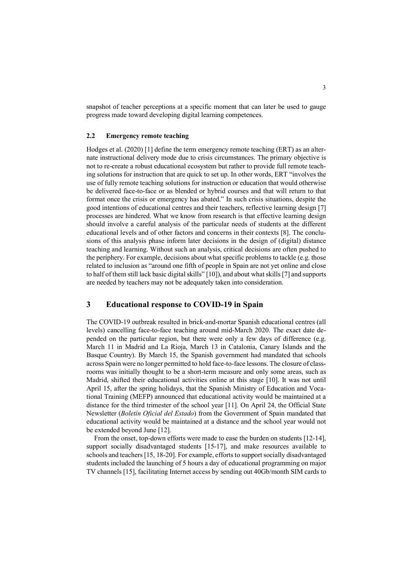snapshot of teacher perceptions at a specific moment that can later be used to gauge progress made toward developing digital learning competences.

#### **2.2 Emergency remote teaching**

Hodges et al. (2020) [1] define the term emergency remote teaching (ERT) as an alternate instructional delivery mode due to crisis circumstances. The primary objective is not to re-create a robust educational ecosystem but rather to provide full remote teaching solutions for instruction that are quick to set up. In other words, ERT "involves the use of fully remote teaching solutions for instruction or education that would otherwise be delivered face-to-face or as blended or hybrid courses and that will return to that format once the crisis or emergency has abated." In such crisis situations, despite the good intentions of educational centres and their teachers, reflective learning design [7] processes are hindered. What we know from research is that effective learning design should involve a careful analysis of the particular needs of students at the different educational levels and of other factors and concerns in their contexts [8]. The conclusions of this analysis phase inform later decisions in the design of (digital) distance teaching and learning. Without such an analysis, critical decisions are often pushed to the periphery. For example, decisions about what specific problems to tackle (e.g. those related to inclusion as "around one fifth of people in Spain are not yet online and close to half of them still lack basic digital skills" [10]), and about what skills [7] and supports are needed by teachers may not be adequately taken into consideration.

### **3 Educational response to COVID-19 in Spain**

The COVID-19 outbreak resulted in brick-and-mortar Spanish educational centres (all levels) cancelling face-to-face teaching around mid-March 2020. The exact date depended on the particular region, but there were only a few days of difference (e.g. March 11 in Madrid and La Rioja, March 13 in Catalonia, Canary Islands and the Basque Country). By March 15, the Spanish government had mandated that schools across Spain were no longer permitted to hold face-to-face lessons. The closure of classrooms was initially thought to be a short-term measure and only some areas, such as Madrid, shifted their educational activities online at this stage [10]. It was not until April 15, after the spring holidays, that the Spanish Ministry of Education and Vocational Training (MEFP) announced that educational activity would be maintained at a distance for the third trimester of the school year [11]. On April 24, the Official State Newsletter (*Boletín Oficial del Estado*) from the Government of Spain mandated that educational activity would be maintained at a distance and the school year would not be extended beyond June [12].

From the onset, top-down efforts were made to ease the burden on students [12-14], support socially disadvantaged students [15-17], and make resources available to schools and teachers [15, 18-20]. For example, efforts to support socially disadvantaged students included the launching of 5 hours a day of educational programming on major TV channels [15], facilitating Internet access by sending out 40Gb/month SIM cards to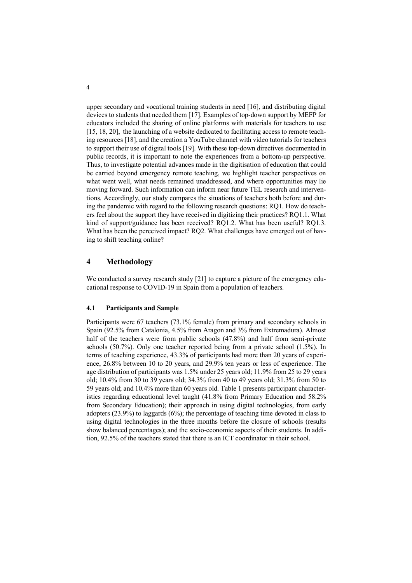upper secondary and vocational training students in need [16], and distributing digital devices to students that needed them [17]. Examples of top-down support by MEFP for educators included the sharing of online platforms with materials for teachers to use [15, 18, 20], the launching of a website dedicated to facilitating access to remote teaching resources [18], and the creation a YouTube channel with video tutorials for teachers to support their use of digital tools [19]. With these top-down directives documented in public records, it is important to note the experiences from a bottom-up perspective. Thus, to investigate potential advances made in the digitisation of education that could be carried beyond emergency remote teaching, we highlight teacher perspectives on what went well, what needs remained unaddressed, and where opportunities may lie moving forward. Such information can inform near future TEL research and interventions. Accordingly, our study compares the situations of teachers both before and during the pandemic with regard to the following research questions: RQ1. How do teachers feel about the support they have received in digitizing their practices? RQ1.1. What kind of support/guidance has been received? RQ1.2. What has been useful? RQ1.3. What has been the perceived impact? RQ2. What challenges have emerged out of having to shift teaching online?

# **4 Methodology**

We conducted a survey research study [21] to capture a picture of the emergency educational response to COVID-19 in Spain from a population of teachers.

### **4.1 Participants and Sample**

Participants were 67 teachers (73.1% female) from primary and secondary schools in Spain (92.5% from Catalonia, 4.5% from Aragon and 3% from Extremadura). Almost half of the teachers were from public schools (47.8%) and half from semi-private schools (50.7%). Only one teacher reported being from a private school (1.5%). In terms of teaching experience, 43.3% of participants had more than 20 years of experience, 26.8% between 10 to 20 years, and 29.9% ten years or less of experience. The age distribution of participants was 1.5% under 25 years old; 11.9% from 25 to 29 years old; 10.4% from 30 to 39 years old; 34.3% from 40 to 49 years old; 31.3% from 50 to 59 years old; and 10.4% more than 60 years old. Table 1 presents participant characteristics regarding educational level taught (41.8% from Primary Education and 58.2% from Secondary Education); their approach in using digital technologies, from early adopters (23.9%) to laggards (6%); the percentage of teaching time devoted in class to using digital technologies in the three months before the closure of schools (results show balanced percentages); and the socio-economic aspects of their students. In addition, 92.5% of the teachers stated that there is an ICT coordinator in their school.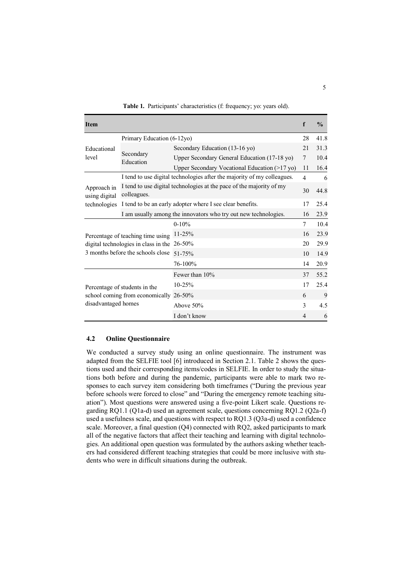| <b>Item</b>                                                                                                    |                                                                                     |                                               | f              | $\frac{0}{0}$ |
|----------------------------------------------------------------------------------------------------------------|-------------------------------------------------------------------------------------|-----------------------------------------------|----------------|---------------|
| Educational<br>level                                                                                           | Primary Education (6-12yo)                                                          |                                               |                | 41.8          |
|                                                                                                                | Secondary<br>Education                                                              | Secondary Education (13-16 yo)                |                | 31.3          |
|                                                                                                                |                                                                                     | Upper Secondary General Education (17-18 yo)  | $\overline{7}$ | 10.4          |
|                                                                                                                |                                                                                     | Upper Secondary Vocational Education (>17 yo) | 11             | 16.4          |
| Approach in<br>using digital<br>technologies                                                                   | I tend to use digital technologies after the majority of my colleagues.             |                                               |                | 6             |
|                                                                                                                | I tend to use digital technologies at the pace of the majority of my<br>colleagues. |                                               |                |               |
|                                                                                                                | I tend to be an early adopter where I see clear benefits.                           |                                               |                | 25.4          |
|                                                                                                                | I am usually among the innovators who try out new technologies.                     |                                               |                |               |
| Percentage of teaching time using<br>digital technologies in class in the<br>3 months before the schools close |                                                                                     | $0 - 10%$                                     |                | 10.4          |
|                                                                                                                |                                                                                     | 11-25%                                        |                | 23.9          |
|                                                                                                                |                                                                                     | 26-50%                                        |                | 29.9          |
|                                                                                                                |                                                                                     | 51-75%                                        |                | 14.9          |
|                                                                                                                |                                                                                     | 76-100%                                       |                | 20.9          |
| Percentage of students in the<br>school coming from economically<br>disadvantaged homes                        |                                                                                     | Fewer than 10%                                |                | 55.2          |
|                                                                                                                |                                                                                     | $10 - 25%$                                    | 17             | 25.4          |
|                                                                                                                |                                                                                     | 26-50%                                        | 6              | 9             |
|                                                                                                                |                                                                                     | Above $50\%$                                  |                | 4.5           |
|                                                                                                                |                                                                                     | I don't know                                  | $\overline{4}$ | 6             |

**Table 1.** Participants' characteristics (f: frequency; yo: years old).

#### **4.2 Online Questionnaire**

We conducted a survey study using an online questionnaire. The instrument was adapted from the SELFIE tool [6] introduced in Section 2.1. Table 2 shows the questions used and their corresponding items/codes in SELFIE. In order to study the situations both before and during the pandemic, participants were able to mark two responses to each survey item considering both timeframes ("During the previous year before schools were forced to close" and "During the emergency remote teaching situation"). Most questions were answered using a five-point Likert scale. Questions regarding RQ1.1 (Q1a-d) used an agreement scale, questions concerning RQ1.2 (Q2a-f) used a usefulness scale, and questions with respect to RQ1.3 (Q3a-d) used a confidence scale. Moreover, a final question (Q4) connected with RQ2, asked participants to mark all of the negative factors that affect their teaching and learning with digital technologies. An additional open question was formulated by the authors asking whether teachers had considered different teaching strategies that could be more inclusive with students who were in difficult situations during the outbreak.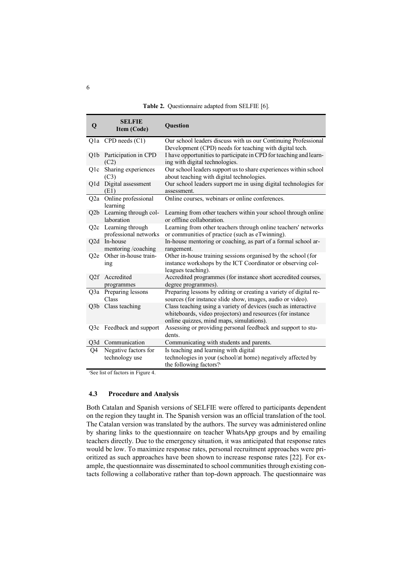| <b>Table 2.</b> Questionnaire adapted from SELFIE [6]. |  |  |  |  |  |  |
|--------------------------------------------------------|--|--|--|--|--|--|
|--------------------------------------------------------|--|--|--|--|--|--|

| $\mathbf 0$      | <b>SELFIE</b><br>Item (Code)                  | <b>Ouestion</b>                                                                                                                                                          |
|------------------|-----------------------------------------------|--------------------------------------------------------------------------------------------------------------------------------------------------------------------------|
|                  | $Q1a$ CPD needs $(C1)$                        | Our school leaders discuss with us our Continuing Professional<br>Development (CPD) needs for teaching with digital tech.                                                |
|                  | Q1b Participation in CPD<br>(C2)              | I have opportunities to participate in CPD for teaching and learn-<br>ing with digital technologies.                                                                     |
| Q1c              | Sharing experiences<br>(C3)                   | Our school leaders support us to share experiences within school<br>about teaching with digital technologies.                                                            |
|                  | Q1d Digital assessment<br>(E1)                | Our school leaders support me in using digital technologies for<br>assessment.                                                                                           |
| Q2a              | Online professional<br>learning               | Online courses, webinars or online conferences.                                                                                                                          |
|                  | Q2b Learning through col-<br>laboration       | Learning from other teachers within your school through online<br>or offline collaboration.                                                                              |
|                  | Q2c Learning through<br>professional networks | Learning from other teachers through online teachers' networks<br>or communities of practice (such as eTwinning).                                                        |
| Q <sub>2</sub> d | In-house<br>mentoring/coaching                | In-house mentoring or coaching, as part of a formal school ar-<br>rangement.                                                                                             |
| O <sub>2</sub> e | Other in-house train-<br>ing                  | Other in-house training sessions organised by the school (for<br>instance workshops by the ICT Coordinator or observing col-<br>leagues teaching).                       |
| Q2f              | Accredited                                    | Accredited programmes (for instance short accredited courses,                                                                                                            |
| Q3a              | programmes<br>Preparing lessons<br>Class      | degree programmes).<br>Preparing lessons by editing or creating a variety of digital re-<br>sources (for instance slide show, images, audio or video).                   |
| Q3b              | Class teaching                                | Class teaching using a variety of devices (such as interactive<br>whiteboards, video projectors) and resources (for instance<br>online quizzes, mind maps, simulations). |
|                  | Q3c Feedback and support                      | Assessing or providing personal feedback and support to stu-<br>dents.                                                                                                   |
|                  | Q3d Communication                             | Communicating with students and parents.                                                                                                                                 |
| Q4               | Negative factors for<br>technology use        | Is teaching and learning with digital<br>technologies in your (school/at home) negatively affected by<br>the following factors? <sup>1</sup>                             |

<sup>1</sup>See list of factors in Figure 4.

### **4.3 Procedure and Analysis**

Both Catalan and Spanish versions of SELFIE were offered to participants dependent on the region they taught in. The Spanish version was an official translation of the tool. The Catalan version was translated by the authors. The survey was administered online by sharing links to the questionnaire on teacher WhatsApp groups and by emailing teachers directly. Due to the emergency situation, it was anticipated that response rates would be low. To maximize response rates, personal recruitment approaches were prioritized as such approaches have been shown to increase response rates [22]. For example, the questionnaire was disseminated to school communities through existing contacts following a collaborative rather than top-down approach. The questionnaire was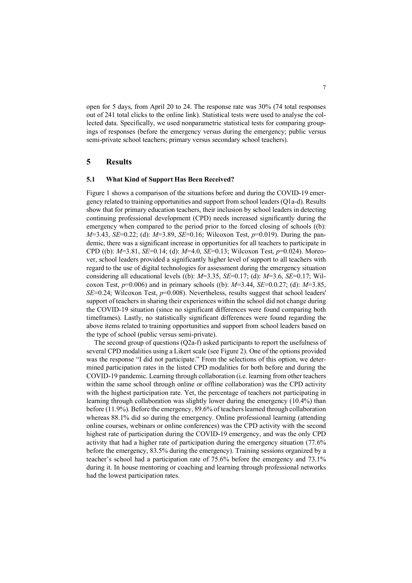open for 5 days, from April 20 to 24. The response rate was 30% (74 total responses out of 241 total clicks to the online link). Statistical tests were used to analyse the collected data. Specifically, we used nonparametric statistical tests for comparing groupings of responses (before the emergency versus during the emergency; public versus semi-private school teachers; primary versus secondary school teachers).

### **5 Results**

### **5.1 What Kind of Support Has Been Received?**

Figure 1 shows a comparison of the situations before and during the COVID-19 emergency related to training opportunities and support from school leaders (Q1a-d). Results show that for primary education teachers, their inclusion by school leaders in detecting continuing professional development (CPD) needs increased significantly during the emergency when compared to the period prior to the forced closing of schools ((b): *M*=3.43, *SE*=0.22; (d): *M*=3.89, *SE*=0.16; Wilcoxon Test, *p*=0.019). During the pandemic, there was a significant increase in opportunities for all teachers to participate in CPD ((b): *M*=3.81, *SE*=0.14; (d): *M*=4.0, *SE*=0.13; Wilcoxon Test, *p*=0.024). Moreover, school leaders provided a significantly higher level of support to all teachers with regard to the use of digital technologies for assessment during the emergency situation considering all educational levels ((b): *M*=3.35, *SE*=0.17; (d): *M*=3.6, *SE*=0.17; Wilcoxon Test, *p*=0.006) and in primary schools ((b): *M*=3.44, *SE*=0.0.27; (d): *M*=3.85, *SE*=0.24; Wilcoxon Test, *p*=0.008). Nevertheless, results suggest that school leaders' support of teachers in sharing their experiences within the school did not change during the COVID-19 situation (since no significant differences were found comparing both timeframes). Lastly, no statistically significant differences were found regarding the above items related to training opportunities and support from school leaders based on the type of school (public versus semi-private).

The second group of questions (Q2a-f) asked participants to report the usefulness of several CPD modalities using a Likert scale (see Figure 2). One of the options provided was the response "I did not participate." From the selections of this option, we determined participation rates in the listed CPD modalities for both before and during the COVID-19 pandemic. Learning through collaboration (i.e. learning from other teachers within the same school through online or offline collaboration) was the CPD activity with the highest participation rate. Yet, the percentage of teachers not participating in learning through collaboration was slightly lower during the emergency (10.4%) than before (11.9%). Before the emergency, 89.6% of teachers learned through collaboration whereas 88.1% did so during the emergency. Online professional learning (attending online courses, webinars or online conferences) was the CPD activity with the second highest rate of participation during the COVID-19 emergency, and was the only CPD activity that had a higher rate of participation during the emergency situation (77.6% before the emergency, 83.5% during the emergency). Training sessions organized by a teacher's school had a participation rate of 75.6% before the emergency and 73.1% during it. In house mentoring or coaching and learning through professional networks had the lowest participation rates.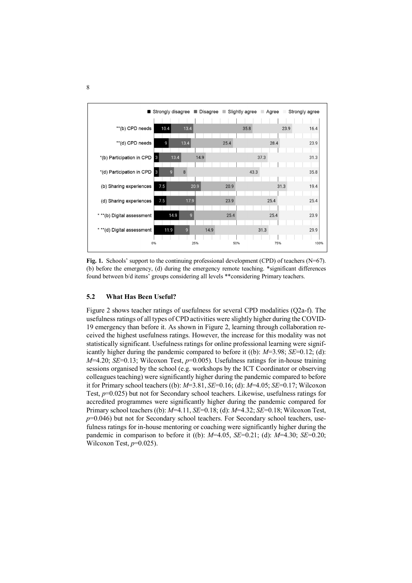

Fig. 1. Schools' support to the continuing professional development (CPD) of teachers (N=67). (b) before the emergency, (d) during the emergency remote teaching. \*significant differences found between b/d items' groups considering all levels \*\*considering Primary teachers.

#### **5.2 What Has Been Useful?**

Figure 2 shows teacher ratings of usefulness for several CPD modalities (Q2a-f). The usefulness ratings of all types of CPD activities were slightly higher during the COVID-19 emergency than before it. As shown in Figure 2, learning through collaboration received the highest usefulness ratings. However, the increase for this modality was not statistically significant. Usefulness ratings for online professional learning were significantly higher during the pandemic compared to before it ((b): *M*=3.98; *SE*=0.12; (d): *M*=4.20; *SE*=0.13; Wilcoxon Test, *p*=0.005). Usefulness ratings for in-house training sessions organised by the school (e.g. workshops by the ICT Coordinator or observing colleagues teaching) were significantly higher during the pandemic compared to before it for Primary school teachers ((b): *M*=3.81, *SE*=0.16; (d): *M*=4.05; *SE*=0.17; Wilcoxon Test, *p*=0.025) but not for Secondary school teachers. Likewise, usefulness ratings for accredited programmes were significantly higher during the pandemic compared for Primary school teachers ((b): *M*=4.11, *SE*=0.18; (d): *M*=4.32; *SE*=0.18; Wilcoxon Test, *p*=0.046) but not for Secondary school teachers. For Secondary school teachers, usefulness ratings for in-house mentoring or coaching were significantly higher during the pandemic in comparison to before it ((b): *M*=4.05, *SE*=0.21; (d): *M*=4.30; *SE*=0.20; Wilcoxon Test, *p*=0.025).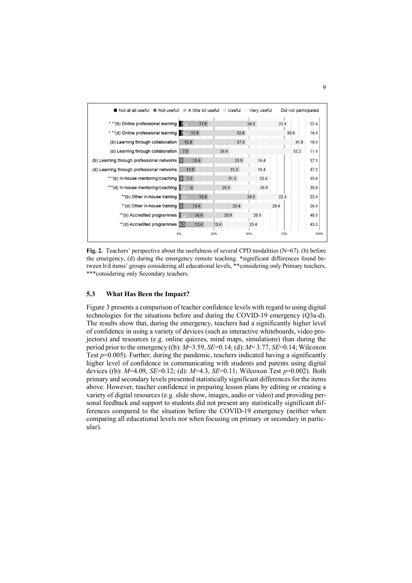

**Fig. 2.** Teachers' perspective about the usefulness of several CPD modalities (N=67). (b) before the emergency, (d) during the emergency remote teaching. **\***significant differences found between b/d items' groups considering all educational levels, \*\*considering only Primary teachers, \*\*\*considering only Secondary teachers.

### **5.3 What Has Been the Impact?**

Figure 3 presents a comparison of teacher confidence levels with regard to using digital technologies for the situations before and during the COVID-19 emergency (Q3a-d). The results show that, during the emergency, teachers had a significantly higher level of confidence in using a variety of devices (such as interactive whiteboards, video projectors) and resources (e.g. online quizzes, mind maps, simulations) than during the period prior to the emergency ((b): *M*=3.59, *SE*=0.14; (d): *M*= 3.77, *SE*=0.14; Wilcoxon Test *p*=0.005). Further, during the pandemic, teachers indicated having a significantly higher level of confidence in communicating with students and parents using digital devices ((b): *M*=4.09, *SE*=0.12; (d): *M*=4.3, *SE*=0.11; Wilcoxon Test *p*=0.002). Both primary and secondary levels presented statistically significant differences for the items above. However, teacher confidence in preparing lesson plans by editing or creating a variety of digital resources (e.g. slide show, images, audio or video) and providing personal feedback and support to students did not present any statistically significant differences compared to the situation before the COVID-19 emergency (neither when comparing all educational levels nor when focusing on primary or secondary in particular).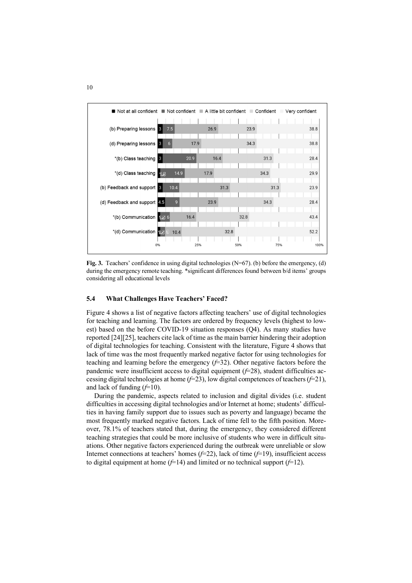

Fig. 3. Teachers' confidence in using digital technologies (N=67). (b) before the emergency, (d) during the emergency remote teaching. \*significant differences found between b/d items' groups considering all educational levels

#### **5.4 What Challenges Have Teachers' Faced?**

Figure 4 shows a list of negative factors affecting teachers' use of digital technologies for teaching and learning. The factors are ordered by frequency levels (highest to lowest) based on the before COVID-19 situation responses (Q4). As many studies have reported [24][25], teachers cite lack of time as the main barrier hindering their adoption of digital technologies for teaching. Consistent with the literature, Figure 4 shows that lack of time was the most frequently marked negative factor for using technologies for teaching and learning before the emergency (*f*=32). Other negative factors before the pandemic were insufficient access to digital equipment  $(f=28)$ , student difficulties accessing digital technologies at home (*f*=23), low digital competences of teachers (*f*=21), and lack of funding (*f*=10).

During the pandemic, aspects related to inclusion and digital divides (i.e. student difficulties in accessing digital technologies and/or Internet at home; students' difficulties in having family support due to issues such as poverty and language) became the most frequently marked negative factors. Lack of time fell to the fifth position. Moreover, 78.1% of teachers stated that, during the emergency, they considered different teaching strategies that could be more inclusive of students who were in difficult situations. Other negative factors experienced during the outbreak were unreliable or slow Internet connections at teachers' homes (*f*=22), lack of time (*f*=19), insufficient access to digital equipment at home  $(f=14)$  and limited or no technical support  $(f=12)$ .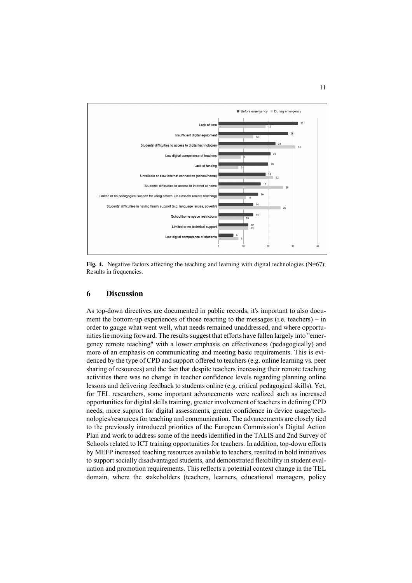

**Fig. 4.** Negative factors affecting the teaching and learning with digital technologies (N=67); Results in frequencies.

### **6 Discussion**

As top-down directives are documented in public records, it's important to also document the bottom-up experiences of those reacting to the messages (i.e. teachers) – in order to gauge what went well, what needs remained unaddressed, and where opportunities lie moving forward. The results suggest that efforts have fallen largely into "emergency remote teaching" with a lower emphasis on effectiveness (pedagogically) and more of an emphasis on communicating and meeting basic requirements. This is evidenced by the type of CPD and support offered to teachers (e.g. online learning vs. peer sharing of resources) and the fact that despite teachers increasing their remote teaching activities there was no change in teacher confidence levels regarding planning online lessons and delivering feedback to students online (e.g. critical pedagogical skills). Yet, for TEL researchers, some important advancements were realized such as increased opportunities for digital skills training, greater involvement of teachers in defining CPD needs, more support for digital assessments, greater confidence in device usage/technologies/resources for teaching and communication. The advancements are closely tied to the previously introduced priorities of the European Commission's Digital Action Plan and work to address some of the needs identified in the TALIS and 2nd Survey of Schools related to ICT training opportunities for teachers. In addition, top-down efforts by MEFP increased teaching resources available to teachers, resulted in bold initiatives to support socially disadvantaged students, and demonstrated flexibility in student evaluation and promotion requirements. This reflects a potential context change in the TEL domain, where the stakeholders (teachers, learners, educational managers, policy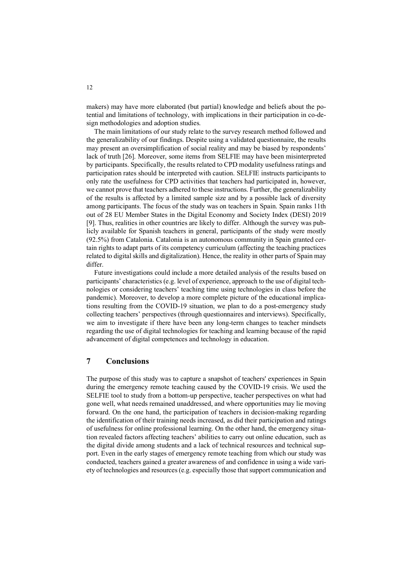makers) may have more elaborated (but partial) knowledge and beliefs about the potential and limitations of technology, with implications in their participation in co-design methodologies and adoption studies.

The main limitations of our study relate to the survey research method followed and the generalizability of our findings. Despite using a validated questionnaire, the results may present an oversimplification of social reality and may be biased by respondents' lack of truth [26]. Moreover, some items from SELFIE may have been misinterpreted by participants. Specifically, the results related to CPD modality usefulness ratings and participation rates should be interpreted with caution. SELFIE instructs participants to only rate the usefulness for CPD activities that teachers had participated in, however, we cannot prove that teachers adhered to these instructions. Further, the generalizability of the results is affected by a limited sample size and by a possible lack of diversity among participants. The focus of the study was on teachers in Spain. Spain ranks 11th out of 28 EU Member States in the Digital Economy and Society Index (DESI) 2019 [9]. Thus, realities in other countries are likely to differ. Although the survey was publicly available for Spanish teachers in general, participants of the study were mostly (92.5%) from Catalonia. Catalonia is an autonomous community in Spain granted certain rights to adapt parts of its competency curriculum (affecting the teaching practices related to digital skills and digitalization). Hence, the reality in other parts of Spain may differ.

Future investigations could include a more detailed analysis of the results based on participants' characteristics (e.g. level of experience, approach to the use of digital technologies or considering teachers' teaching time using technologies in class before the pandemic). Moreover, to develop a more complete picture of the educational implications resulting from the COVID-19 situation, we plan to do a post-emergency study collecting teachers' perspectives (through questionnaires and interviews). Specifically, we aim to investigate if there have been any long-term changes to teacher mindsets regarding the use of digital technologies for teaching and learning because of the rapid advancement of digital competences and technology in education.

# **7 Conclusions**

The purpose of this study was to capture a snapshot of teachers' experiences in Spain during the emergency remote teaching caused by the COVID-19 crisis. We used the SELFIE tool to study from a bottom-up perspective, teacher perspectives on what had gone well, what needs remained unaddressed, and where opportunities may lie moving forward. On the one hand, the participation of teachers in decision-making regarding the identification of their training needs increased, as did their participation and ratings of usefulness for online professional learning. On the other hand, the emergency situation revealed factors affecting teachers' abilities to carry out online education, such as the digital divide among students and a lack of technical resources and technical support. Even in the early stages of emergency remote teaching from which our study was conducted, teachers gained a greater awareness of and confidence in using a wide variety of technologies and resources (e.g. especially those that support communication and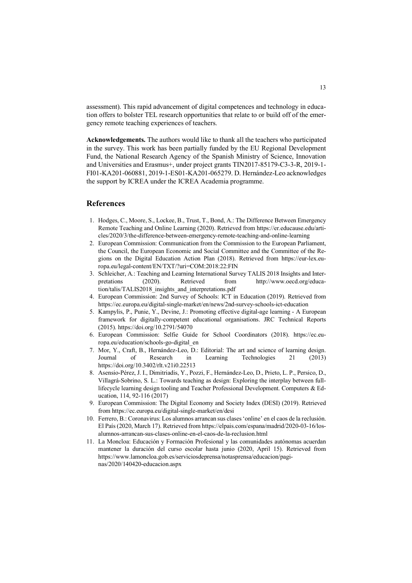assessment). This rapid advancement of digital competences and technology in education offers to bolster TEL research opportunities that relate to or build off of the emergency remote teaching experiences of teachers.

**Acknowledgements.** The authors would like to thank all the teachers who participated in the survey. This work has been partially funded by the EU Regional Development Fund, the National Research Agency of the Spanish Ministry of Science, Innovation and Universities and Erasmus+, under project grants TIN2017-85179-C3-3-R, 2019-1- FI01-KA201-060881, 2019-1-ES01-KA201-065279. D. Hernández-Leo acknowledges the support by ICREA under the ICREA Academia programme.

### **References**

- 1. Hodges, C., Moore, S., Lockee, B., Trust, T., Bond, A.: The Difference Between Emergency Remote Teaching and Online Learning (2020). Retrieved from https://er.educause.edu/articles/2020/3/the-difference-between-emergency-remote-teaching-and-online-learning
- 2. European Commission: Communication from the Commission to the European Parliament, the Council, the European Economic and Social Committee and the Committee of the Regions on the Digital Education Action Plan (2018). Retrieved from https://eur-lex.europa.eu/legal-content/EN/TXT/?uri=COM:2018:22:FIN
- 3. Schleicher, A.: Teaching and Learning International Survey TALIS 2018 Insights and Interpretations (2020). Retrieved from http://www.oecd.org/education/talis/TALIS2018\_insights\_and\_interpretations.pdf
- 4. European Commission: 2nd Survey of Schools: ICT in Education (2019). Retrieved from https://ec.europa.eu/digital-single-market/en/news/2nd-survey-schools-ict-education
- 5. Kampylis, P., Punie, Y., Devine, J.: Promoting effective digital-age learning A European framework for digitally-competent educational organisations. JRC Technical Reports (2015). https://doi.org/10.2791/54070
- 6. European Commission: Selfie Guide for School Coordinators (2018). https://ec.europa.eu/education/schools-go-digital\_en
- 7. Mor, Y., Craft, B., Hernández-Leo, D.: Editorial: The art and science of learning design. Journal of Research in Learning Technologies 21 (2013) https://doi.org/10.3402/rlt.v21i0.22513
- 8. Asensio-Pérez, J. I., Dimitriadis, Y., Pozzi, F., Hernández-Leo, D., Prieto, L. P., Persico, D., Villagrá-Sobrino, S. L.: Towards teaching as design: Exploring the interplay between fulllifecycle learning design tooling and Teacher Professional Development. Computers & Education, 114, 92-116 (2017)
- 9. European Commission: The Digital Economy and Society Index (DESI) (2019). Retrieved from https://ec.europa.eu/digital-single-market/en/desi
- 10. Ferrero, B.: Coronavirus: Los alumnos arrancan sus clases 'online' en el caos de la reclusión. El País(2020, March 17). Retrieved from https://elpais.com/espana/madrid/2020-03-16/losalumnos-arrancan-sus-clases-online-en-el-caos-de-la-reclusion.html
- 11. La Moncloa: Educación y Formación Profesional y las comunidades autónomas acuerdan mantener la duración del curso escolar hasta junio (2020, April 15). Retrieved from https://www.lamoncloa.gob.es/serviciosdeprensa/notasprensa/educacion/paginas/2020/140420-educacion.aspx